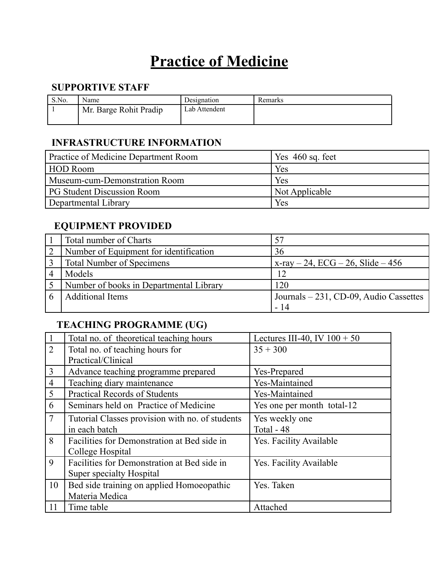# **Practice of Medicine**

#### **SUPPORTIVE STAFF**

| S.No. | Name                   | Designation   | Remarks |
|-------|------------------------|---------------|---------|
|       | Mr. Barge Rohit Pradip | Lab Attendent |         |

#### **INFRASTRUCTURE INFORMATION**

| <b>Practice of Medicine Department Room</b> | Yes $460$ sq. feet |
|---------------------------------------------|--------------------|
| <b>HOD Room</b>                             | Yes                |
| Museum-cum-Demonstration Room               | Yes                |
| <b>PG Student Discussion Room</b>           | Not Applicable     |
| Departmental Library                        | Yes                |

#### **EQUIPMENT PROVIDED**

|   | <b>Total number of Charts</b>           |                                        |
|---|-----------------------------------------|----------------------------------------|
|   | Number of Equipment for identification  | 36                                     |
|   | <b>Total Number of Specimens</b>        | x-ray $-24$ , ECG $-26$ , Slide $-456$ |
| 4 | Models                                  | 12                                     |
|   | Number of books in Departmental Library | 120                                    |
|   | <b>Additional Items</b>                 | Journals – 231, CD-09, Audio Cassettes |
|   |                                         | - 14                                   |

### **TEACHING PROGRAMME (UG)**

|                | Total no. of theoretical teaching hours         | Lectures III-40, IV $100 + 50$ |
|----------------|-------------------------------------------------|--------------------------------|
| 2              | Total no. of teaching hours for                 | $35 + 300$                     |
|                | Practical/Clinical                              |                                |
| $\overline{3}$ | Advance teaching programme prepared             | Yes-Prepared                   |
| $\overline{4}$ | Teaching diary maintenance                      | Yes-Maintained                 |
| 5              | <b>Practical Records of Students</b>            | Yes-Maintained                 |
| 6              | Seminars held on Practice of Medicine           | Yes one per month total-12     |
| $\overline{7}$ | Tutorial Classes provision with no. of students | Yes weekly one                 |
|                | in each batch                                   | Total - 48                     |
| 8              | Facilities for Demonstration at Bed side in     | Yes. Facility Available        |
|                | College Hospital                                |                                |
| 9              | Facilities for Demonstration at Bed side in     | Yes. Facility Available        |
|                | Super specialty Hospital                        |                                |
| 10             | Bed side training on applied Homoeopathic       | Yes. Taken                     |
|                | Materia Medica                                  |                                |
| 11             | Time table                                      | Attached                       |